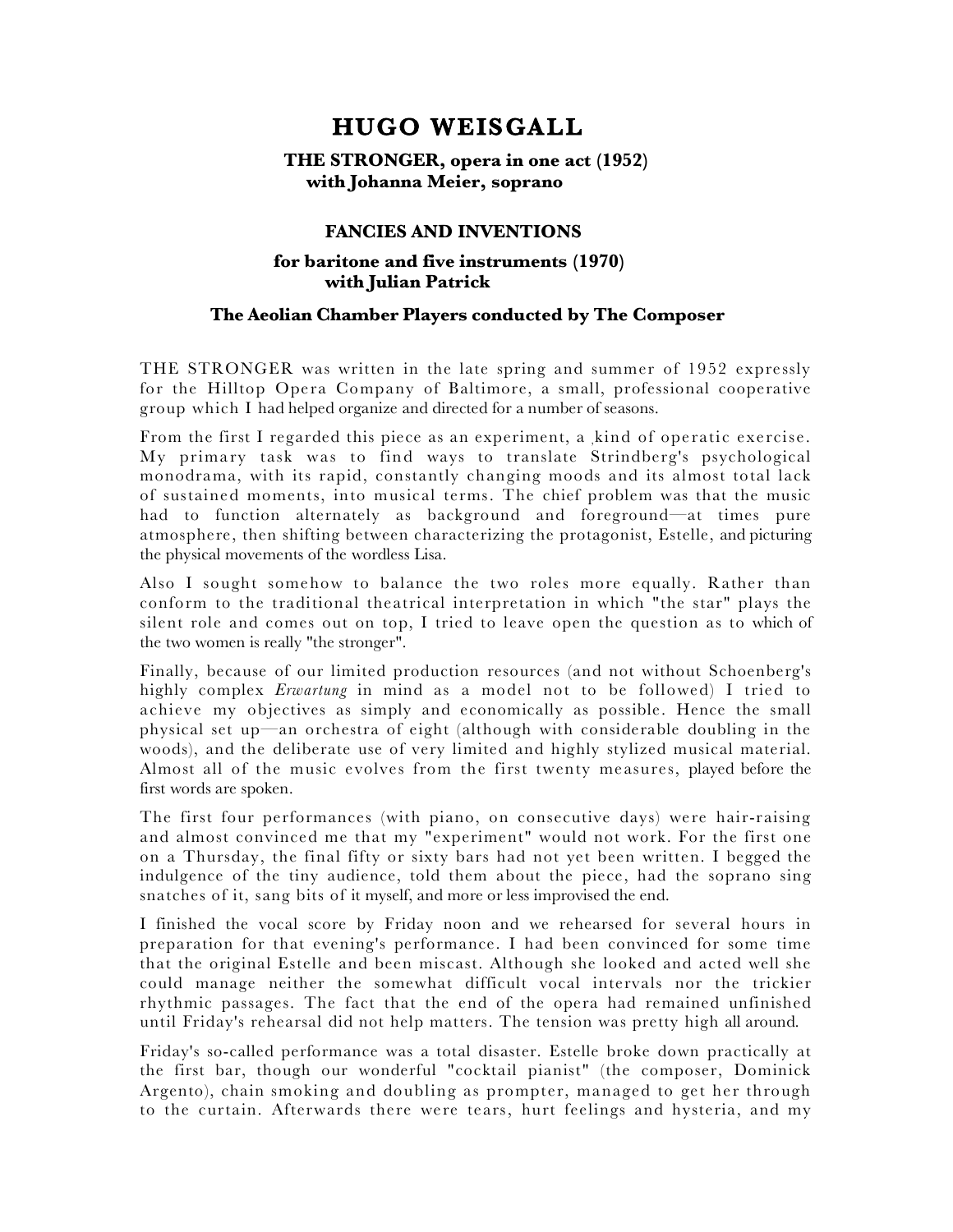## **HUGO WEISGALL**

## **THE STRONGER, opera in one act (1952) with Johanna Meier, soprano**

## **FANCIES AND INVENTIONS**

## **for baritone and five instruments (1970) with Julian Patrick**

## **The Aeolian Chamber Players conducted by The Composer**

THE STRONGER was written in the late spring and summer of 1952 expressly for the Hilltop Opera Company of Baltimore, a small, professional cooperative group which I had helped organize and directed for a number of seasons.

From the first I regarded this piece as an experiment, a ,kind of operatic exercise. My primary task was to find ways to translate Strindberg's psychological monodrama, with its rapid, constantly changing moods and its almost total lack of sustained moments, into musical terms. The chief problem was that the music had to function alternately as background and foreground—at times pure atmosphere, then shifting between characterizing the protagonist, Estelle, and picturing the physical movements of the wordless Lisa.

Also I sought somehow to balance the two roles more equally. Rather than conform to the traditional theatrical interpretation in which "the star" plays the silent role and comes out on top, I tried to leave open the question as to which of the two women is really "the stronger".

Finally, because of our limited production resources (and not without Schoenberg's highly complex *Erwartung* in mind as a model not to be followed) I tried to achieve my objectives as simply and economically as possible. Hence the small physical set up—an orchestra of eight (although with considerable doubling in the woods), and the deliberate use of very limited and highly stylized musical material. Almost all of the music evolves from the first twenty measures, played before the first words are spoken.

The first four performances (with piano, on consecutive days) were hair-raising and almost convinced me that my "experiment" would not work. For the first one on a Thursday, the final fifty or sixty bars had not yet been written. I begged the indulgence of the tiny audience, told them about the piece, had the soprano sing snatches of it, sang bits of it myself, and more or less improvised the end.

I finished the vocal score by Friday noon and we rehearsed for several hours in preparation for that evening's performance. I had been convinced for some time that the original Estelle and been miscast. Although she looked and acted well she could manage neither the somewhat difficult vocal intervals nor the trickier rhythmic passages. The fact that the end of the opera had remained unfinished until Friday's rehearsal did not help matters. The tension was pretty high all around.

Friday's so-called performance was a total disaster. Estelle broke down practically at the first bar, though our wonderful "cocktail pianist" (the composer, Dominick Argento), chain smoking and doubling as prompter, managed to get her through to the curtain. Afterwards there were tears, hurt feelings and hysteria, and my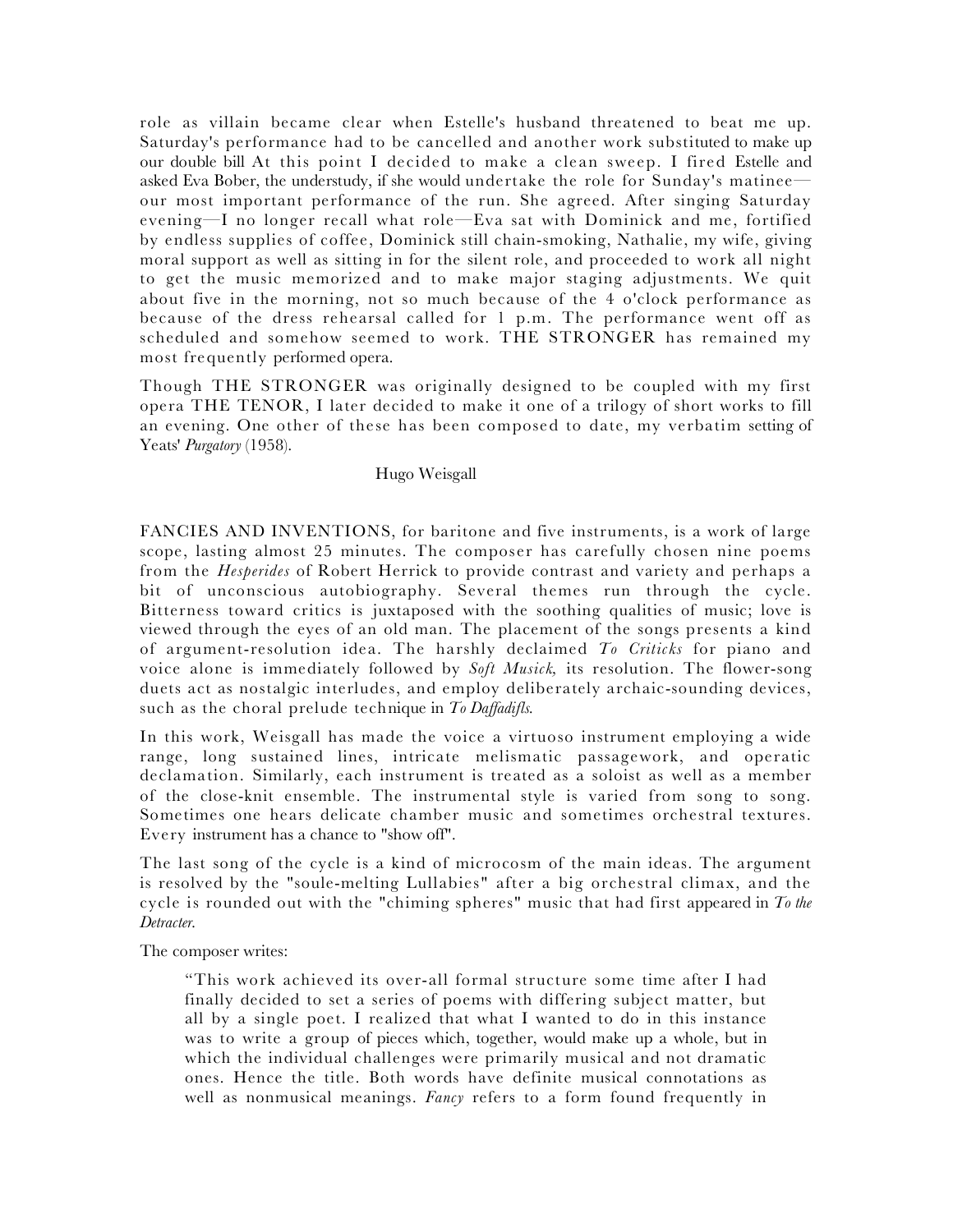role as villain became clear when Estelle's husband threatened to beat me up. Saturday's performance had to be cancelled and another work substituted to make up our double bill At this point I decided to make a clean sweep. I fired Estelle and asked Eva Bober, the understudy, if she would undertake the role for Sunday's matinee our most important performance of the run. She agreed. After singing Saturday evening—I no longer recall what role—Eva sat with Dominick and me, fortified by endless supplies of coffee, Dominick still chain-smoking, Nathalie, my wife, giving moral support as well as sitting in for the silent role, and proceeded to work all night to get the music memorized and to make major staging adjustments. We quit about five in the morning, not so much because of the 4 o'clock performance as because of the dress rehearsal called for 1 p.m. The performance went off as scheduled and somehow seemed to work. THE STRONGER has remained my most frequently performed opera.

Though THE STRONGER was originally designed to be coupled with my first opera THE TENOR, I later decided to make it one of a trilogy of short works to fill an evening. One other of these has been composed to date, my verbatim setting of Yeats' *Purgatory* (1958).

#### Hugo Weisgall

FANCIES AND INVENTIONS, for baritone and five instruments, is a work of large scope, lasting almost 25 minutes. The composer has carefully chosen nine poems from the *Hesperides* of Robert Herrick to provide contrast and variety and perhaps a bit of unconscious autobiography. Several themes run through the cycle. Bitterness toward critics is juxtaposed with the soothing qualities of music; love is viewed through the eyes of an old man. The placement of the songs presents a kind of argument-resolution idea. The harshly declaimed *To Criticks* for piano and voice alone is immediately followed by *Soft Musick,* its resolution. The flower-song duets act as nostalgic interludes, and employ deliberately archaic-sounding devices, such as the choral prelude technique in *To Daffadifls.*

In this work, Weisgall has made the voice a virtuoso instrument employing a wide range, long sustained lines, intricate melismatic passagework, and operatic declamation. Similarly, each instrument is treated as a soloist as well as a member of the close-knit ensemble. The instrumental style is varied from song to song. Sometimes one hears delicate chamber music and sometimes orchestral textures. Every instrument has a chance to "show off".

The last song of the cycle is a kind of microcosm of the main ideas. The argument is resolved by the "soule-melting Lullabies" after a big orchestral climax, and the cycle is rounded out with the "chiming spheres" music that had first appeared in *To the Detracter.*

The composer writes:

"This work achieved its over-all formal structure some time after I had finally decided to set a series of poems with differing subject matter, but all by a single poet. I realized that what I wanted to do in this instance was to write a group of pieces which, together, would make up a whole, but in which the individual challenges were primarily musical and not dramatic ones. Hence the title. Both words have definite musical connotations as well as nonmusical meanings. *Fancy* refers to a form found frequently in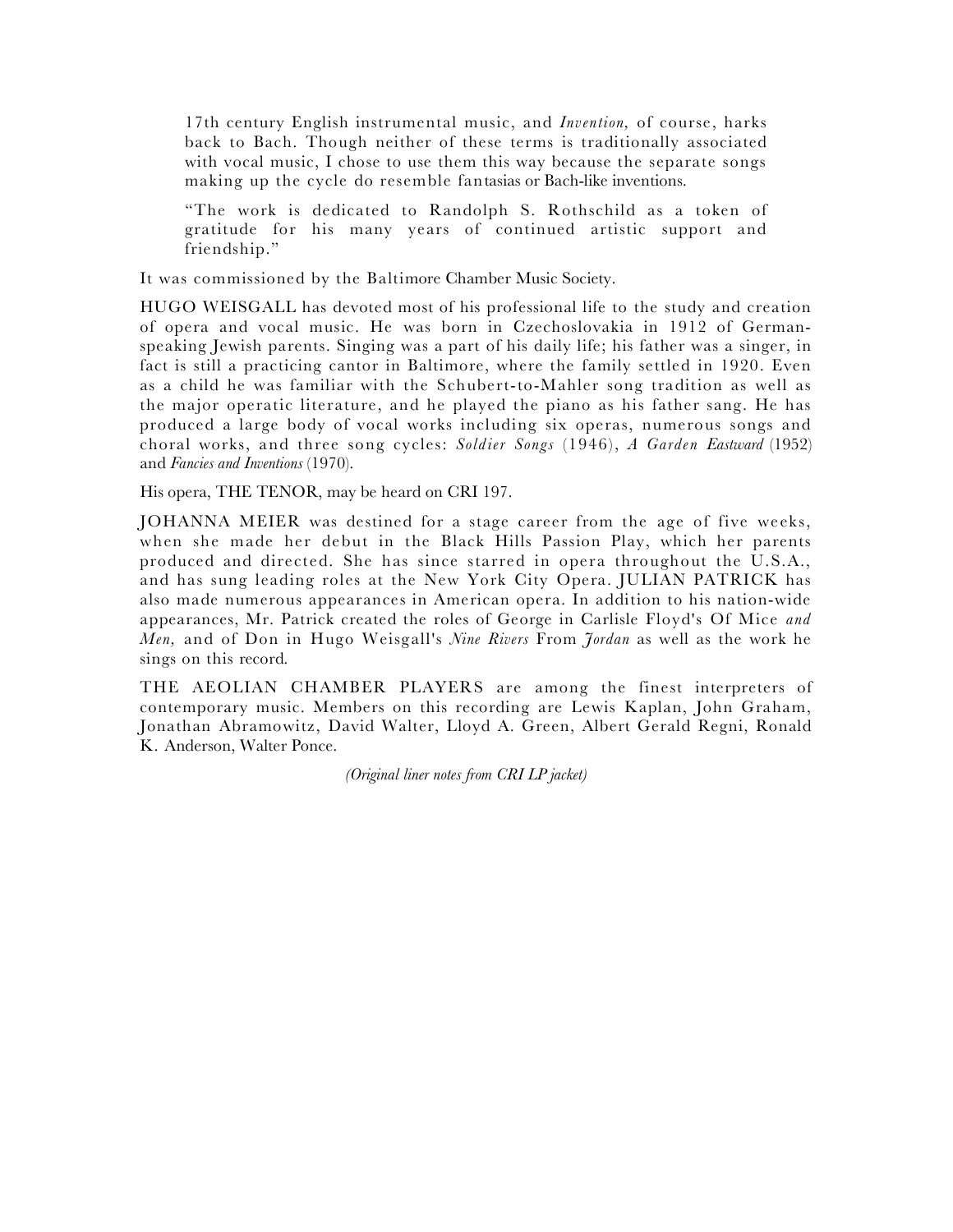17th century English instrumental music, and *Invention,* of course, harks back to Bach. Though neither of these terms is traditionally associated with vocal music, I chose to use them this way because the separate songs making up the cycle do resemble fantasias or Bach-like inventions.

"The work is dedicated to Randolph S. Rothschild as a token of gratitude for his many years of continued artistic support and friendship."

It was commissioned by the Baltimore Chamber Music Society.

HUGO WEISGALL has devoted most of his professional life to the study and creation of opera and vocal music. He was born in Czechoslovakia in 1912 of Germanspeaking Jewish parents. Singing was a part of his daily life; his father was a singer, in fact is still a practicing cantor in Baltimore, where the family settled in 1920. Even as a child he was familiar with the Schubert-to-Mahler song tradition as well as the major operatic literature, and he played the piano as his father sang. He has produced a large body of vocal works including six operas, numerous songs and choral works, and three song cycles: *Soldier Songs* (1946), *A Garden Eastward* (1952) and *Fancies and Inventions* (1970).

His opera, THE TENOR, may be heard on CRI 197.

JOHANNA MEIER was destined for a stage career from the age of five weeks, when she made her debut in the Black Hills Passion Play, which her parents produced and directed. She has since starred in opera throughout the U.S.A., and has sung leading roles at the New York City Opera. JULIAN PATRICK has also made numerous appearances in American opera. In addition to his nation-wide appearances, Mr. Patrick created the roles of George in Carlisle Floyd's Of Mice *and Men,* and of Don in Hugo Weisgall's *Nine Rivers* From *Jordan* as well as the work he sings on this record.

THE AEOLIAN CHAMBER PLAYERS are among the finest interpreters of contemporary music. Members on this recording are Lewis Kaplan, John Graham, Jonathan Abramowitz, David Walter, Lloyd A. Green, Albert Gerald Regni, Ronald K. Anderson, Walter Ponce.

 *(Original liner notes from CRI LP jacket)*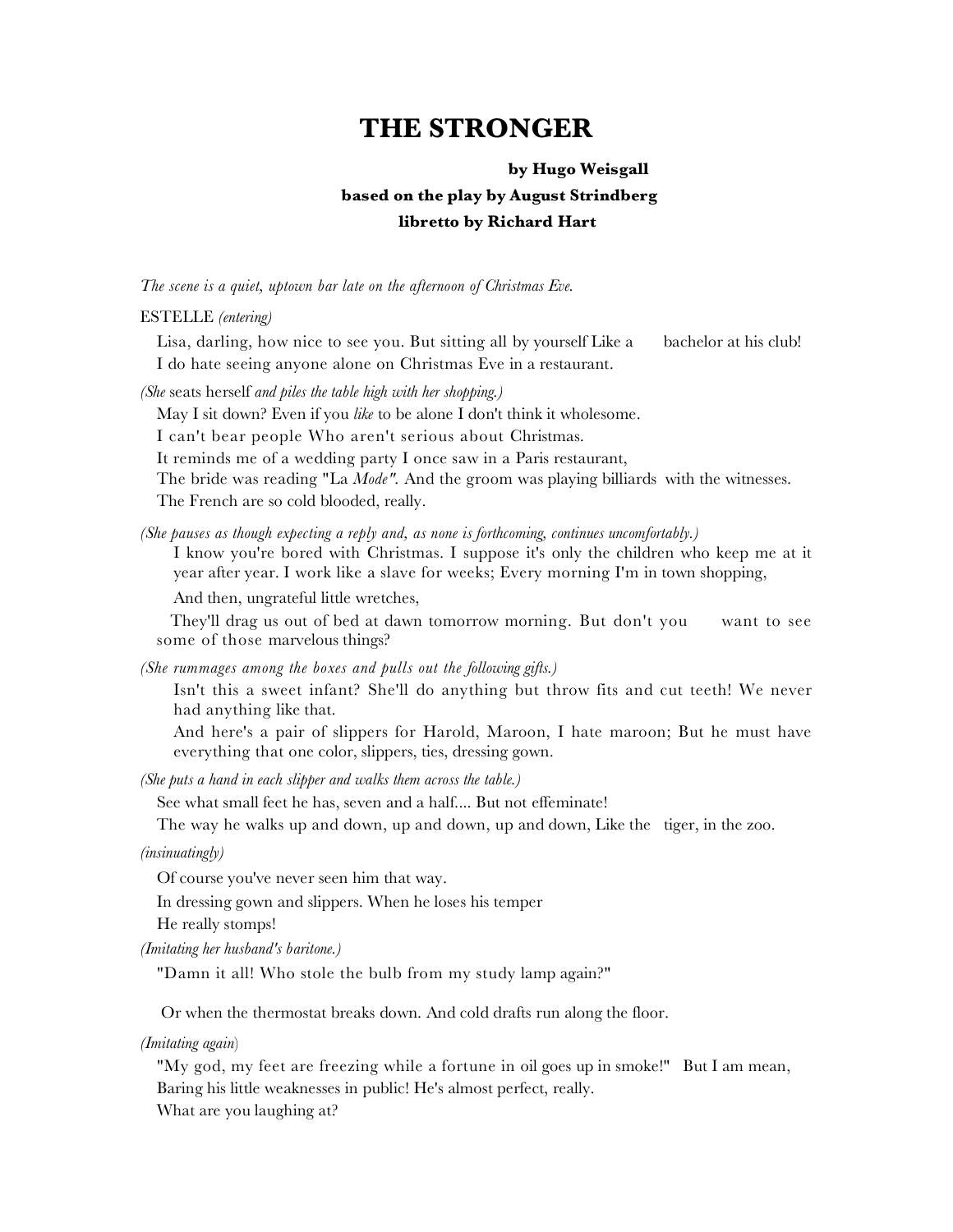# **THE STRONGER**

#### **by Hugo Weisgall**

## **based on the play by August Strindberg**

## **libretto by Richard Hart**

*The scene is a quiet, uptown bar late on the afternoon of Christmas Eve.*

ESTELLE *(entering)*

Lisa, darling, how nice to see you. But sitting all by yourself Like a bachelor at his club! I do hate seeing anyone alone on Christmas Eve in a restaurant.

*(She* seats herself *and piles the table high with her shopping.)*

May I sit down? Even if you *like* to be alone I don't think it wholesome.

I can't bear people Who aren't serious about Christmas.

It reminds me of a wedding party I once saw in a Paris restaurant,

The bride was reading "La *Mode".* And the groom was playing billiards with the witnesses. The French are so cold blooded, really.

*(She pauses as though expecting a reply and, as none is forthcoming, continues uncomfortably.)*

I know you're bored with Christmas. I suppose it's only the children who keep me at it year after year. I work like a slave for weeks; Every morning I'm in town shopping,

And then, ungrateful little wretches,

 They'll drag us out of bed at dawn tomorrow morning. But don't you want to see some of those marvelous things?

*(She rummages among the boxes and pulls out the following gifts.)*

Isn't this a sweet infant? She'll do anything but throw fits and cut teeth! We never had anything like that.

And here's a pair of slippers for Harold, Maroon, I hate maroon; But he must have everything that one color, slippers, ties, dressing gown.

*(She puts a hand in each slipper and walks them across the table.)*

See what small feet he has, seven and a half.... But not effeminate!

The way he walks up and down, up and down, up and down, Like the tiger, in the zoo.

*(insinuatingly)*

Of course you've never seen him that way.

In dressing gown and slippers. When he loses his temper

He really stomps!

*(Imitating her husband's baritone.)*

"Damn it all! Who stole the bulb from my study lamp again?"

Or when the thermostat breaks down. And cold drafts run along the floor.

*(Imitating again*)

"My god, my feet are freezing while a fortune in oil goes up in smoke!" But I am mean, Baring his little weaknesses in public! He's almost perfect, really.

What are you laughing at?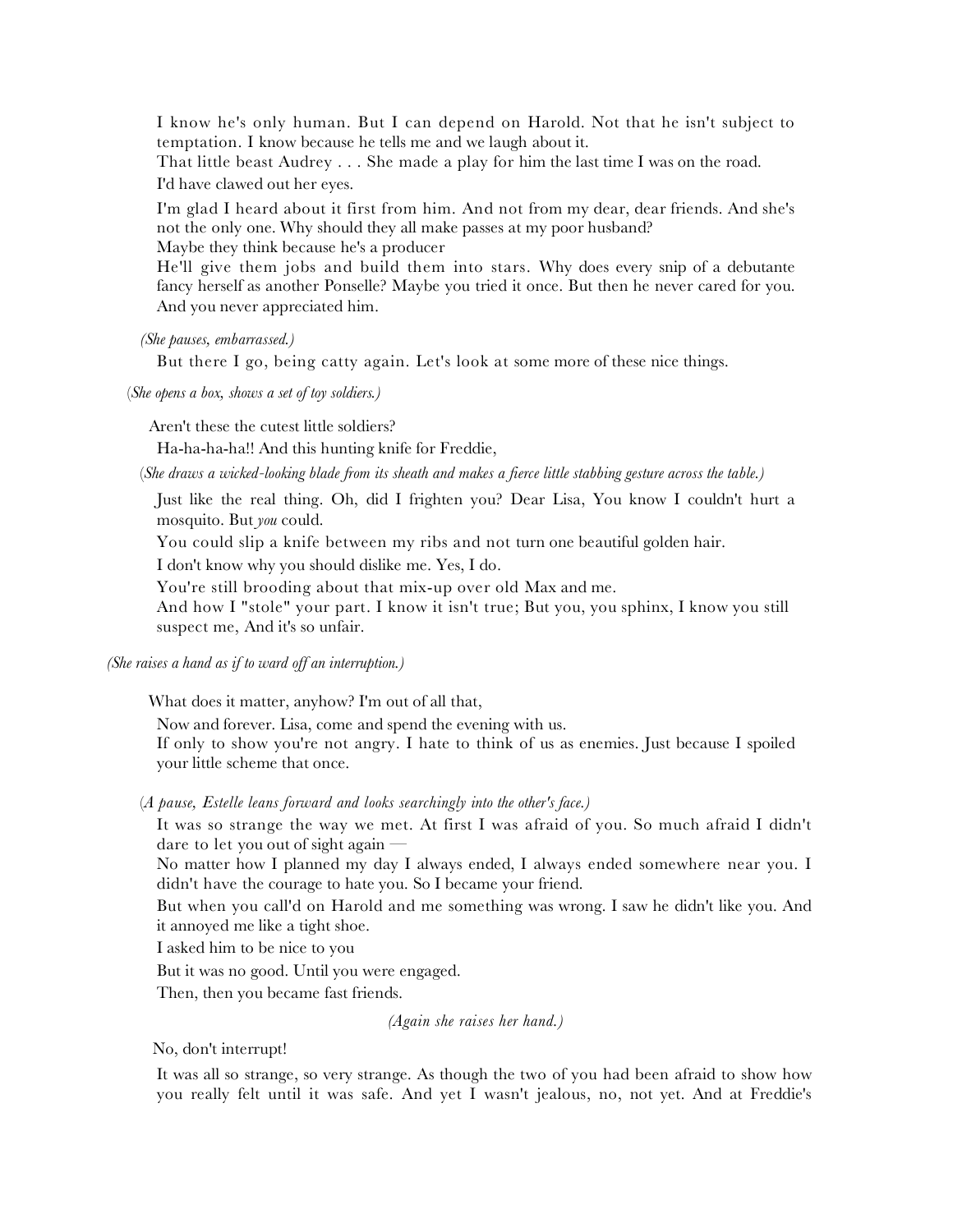I know he's only human. But I can depend on Harold. Not that he isn't subject to temptation. I know because he tells me and we laugh about it.

That little beast Audrey . . . She made a play for him the last time I was on the road. I'd have clawed out her eyes.

I'm glad I heard about it first from him. And not from my dear, dear friends. And she's not the only one. Why should they all make passes at my poor husband?

Maybe they think because he's a producer

He'll give them jobs and build them into stars. Why does every snip of a debutante fancy herself as another Ponselle? Maybe you tried it once. But then he never cared for you. And you never appreciated him.

*(She pauses, embarrassed.)*

But there I go, being catty again. Let's look at some more of these nice things.

(*She opens a box, shows a set of toy soldiers.)* 

Aren't these the cutest little soldiers?

Ha-ha-ha-ha!! And this hunting knife for Freddie,

(*She draws a wicked-looking blade from its sheath and makes a fierce little stabbing gesture across the table.)*

Just like the real thing. Oh, did I frighten you? Dear Lisa, You know I couldn't hurt a mosquito. But *you* could.

You could slip a knife between my ribs and not turn one beautiful golden hair.

I don't know why you should dislike me. Yes, I do.

You're still brooding about that mix-up over old Max and me.

And how I "stole" your part. I know it isn't true; But you, you sphinx, I know you still suspect me, And it's so unfair.

*(She raises a hand as if to ward off an interruption.)* 

What does it matter, anyhow? I'm out of all that,

Now and forever. Lisa, come and spend the evening with us.

If only to show you're not angry. I hate to think of us as enemies. Just because I spoiled your little scheme that once.

(*A pause, Estelle leans forward and looks searchingly into the other's face.)*

It was so strange the way we met. At first I was afraid of you. So much afraid I didn't dare to let you out of sight again —

No matter how I planned my day I always ended, I always ended somewhere near you. I didn't have the courage to hate you. So I became your friend.

But when you call'd on Harold and me something was wrong. I saw he didn't like you. And it annoyed me like a tight shoe.

I asked him to be nice to you

But it was no good. Until you were engaged.

Then, then you became fast friends.

*(Again she raises her hand.)*

No, don't interrupt!

It was all so strange, so very strange. As though the two of you had been afraid to show how you really felt until it was safe. And yet I wasn't jealous, no, not yet. And at Freddie's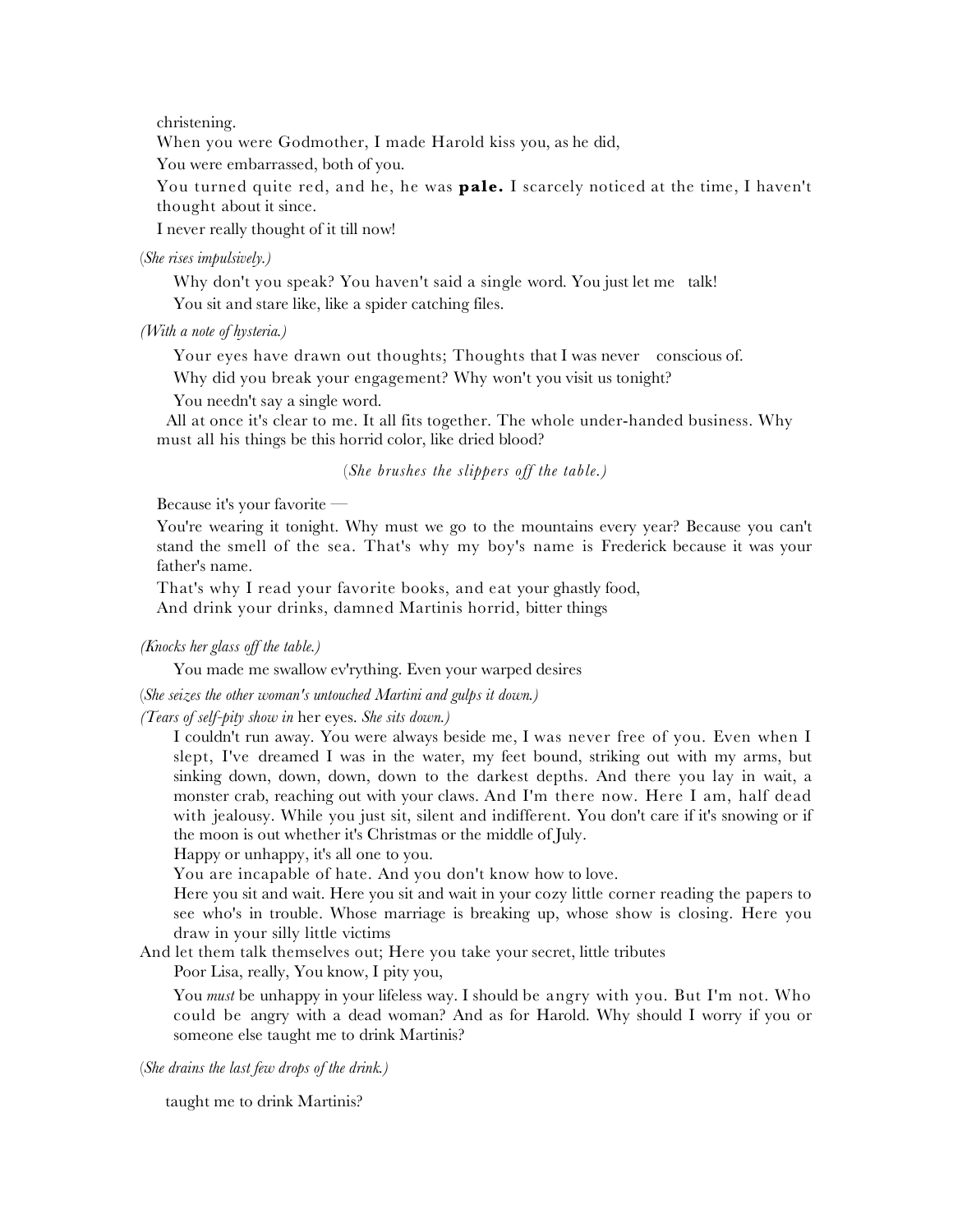christening.

When you were Godmother, I made Harold kiss you, as he did,

You were embarrassed, both of you.

You turned quite red, and he, he was **pale.** I scarcely noticed at the time, I haven't thought about it since.

I never really thought of it till now!

(*She rises impulsively.)*

Why don't you speak? You haven't said a single word. You just let me talk! You sit and stare like, like a spider catching files.

*(With a note of hysteria.)*

Your eyes have drawn out thoughts; Thoughts that I was never conscious of.

Why did you break your engagement? Why won't you visit us tonight?

You needn't say a single word.

 All at once it's clear to me. It all fits together. The whole under-handed business. Why must all his things be this horrid color, like dried blood?

(*She brushes the slippers off the table.)*

Because it's your favorite —

You're wearing it tonight. Why must we go to the mountains every year? Because you can't stand the smell of the sea. That's why my boy's name is Frederick because it was your father's name.

That's why I read your favorite books, and eat your ghastly food,

And drink your drinks, damned Martinis horrid, bitter things

*(Knocks her glass off the table.)*

You made me swallow ev'rything. Even your warped desires

(*She seizes the other woman's untouched Martini and gulps it down.)*

*(Tears of self-pity show in* her eyes. *She sits down.)*

I couldn't run away. You were always beside me, I was never free of you. Even when I slept, I've dreamed I was in the water, my feet bound, striking out with my arms, but sinking down, down, down, down to the darkest depths. And there you lay in wait, a monster crab, reaching out with your claws. And I'm there now. Here I am, half dead with jealousy. While you just sit, silent and indifferent. You don't care if it's snowing or if the moon is out whether it's Christmas or the middle of July.

Happy or unhappy, it's all one to you.

You are incapable of hate. And you don't know how to love.

Here you sit and wait. Here you sit and wait in your cozy little corner reading the papers to see who's in trouble. Whose marriage is breaking up, whose show is closing. Here you draw in your silly little victims

And let them talk themselves out; Here you take your secret, little tributes

Poor Lisa, really, You know, I pity you,

You *must* be unhappy in your lifeless way. I should be angry with you. But I'm not. Who could be angry with a dead woman? And as for Harold. Why should I worry if you or someone else taught me to drink Martinis?

(*She drains the last few drops of the drink.)*

taught me to drink Martinis?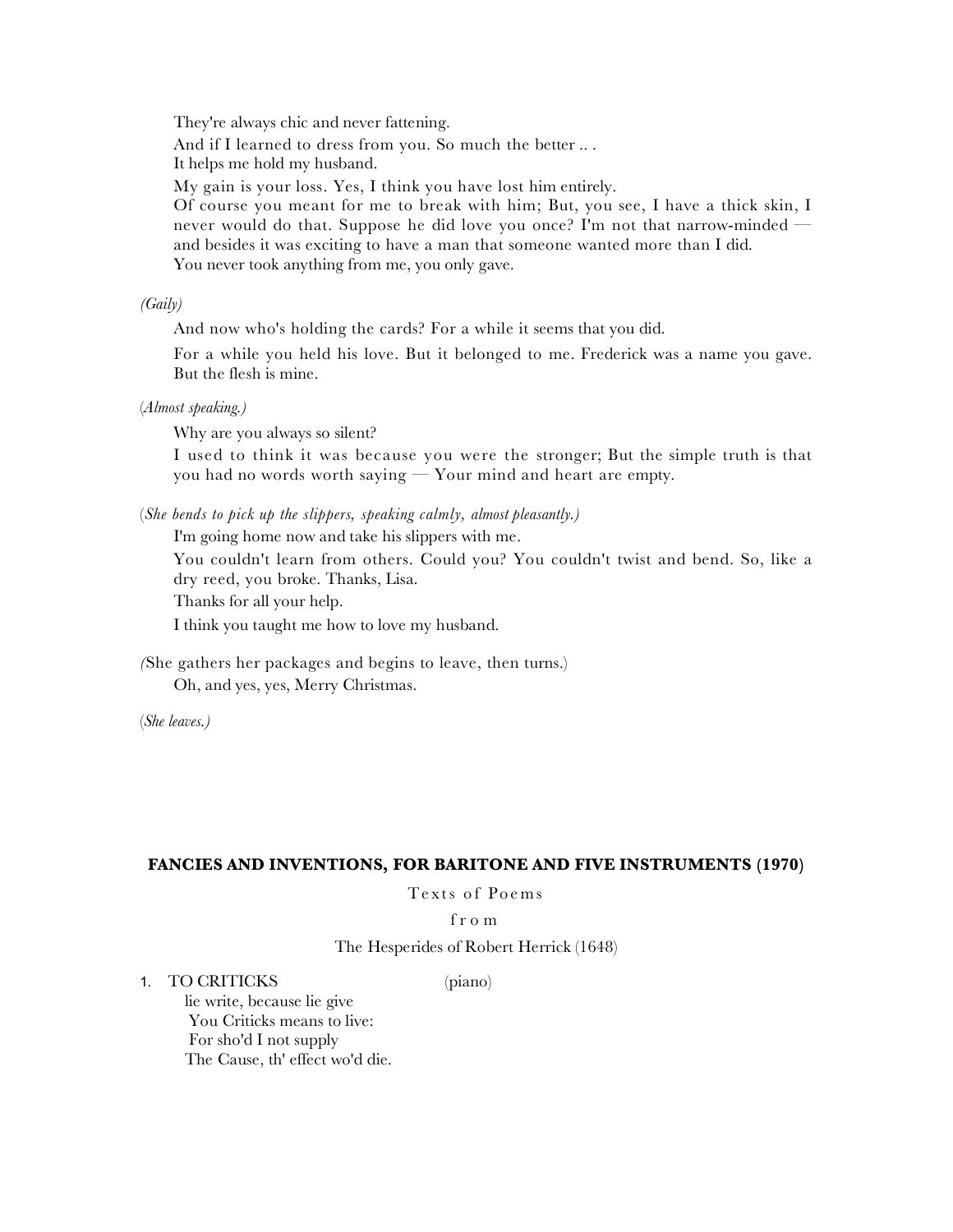They're always chic and never fattening.

And if I learned to dress from you. So much the better .. .

It helps me hold my husband.

My gain is your loss. Yes, I think you have lost him entirely.

Of course you meant for me to break with him; But, you see, I have a thick skin, I never would do that. Suppose he did love you once? I'm not that narrow-minded and besides it was exciting to have a man that someone wanted more than I did. You never took anything from me, you only gave.

*(Gaily)*

And now who's holding the cards? For a while it seems that you did.

For a while you held his love. But it belonged to me. Frederick was a name you gave. But the flesh is mine.

(*Almost speaking.)*

Why are you always so silent?

I used to think it was because you were the stronger; But the simple truth is that you had no words worth saying — Your mind and heart are empty.

(*She bends to pick up the slippers, speaking calmly, almost pleasantly.)*

I'm going home now and take his slippers with me.

You couldn't learn from others. Could you? You couldn't twist and bend. So, like a dry reed, you broke. Thanks, Lisa.

Thanks for all your help.

I think you taught me how to love my husband.

*(*She gathers her packages and begins to leave, then turns.) Oh, and yes, yes, Merry Christmas.

(*She leaves.)*

#### **FANCIES AND INVENTIONS, FOR BARITONE AND FIVE INSTRUMENTS (1970)**

Texts of Poems

#### from

The Hesperides of Robert Herrick (1648)

1. TO CRITICKS (piano)

lie write, because lie give You Criticks means to live: For sho'd I not supply The Cause, th' effect wo'd die.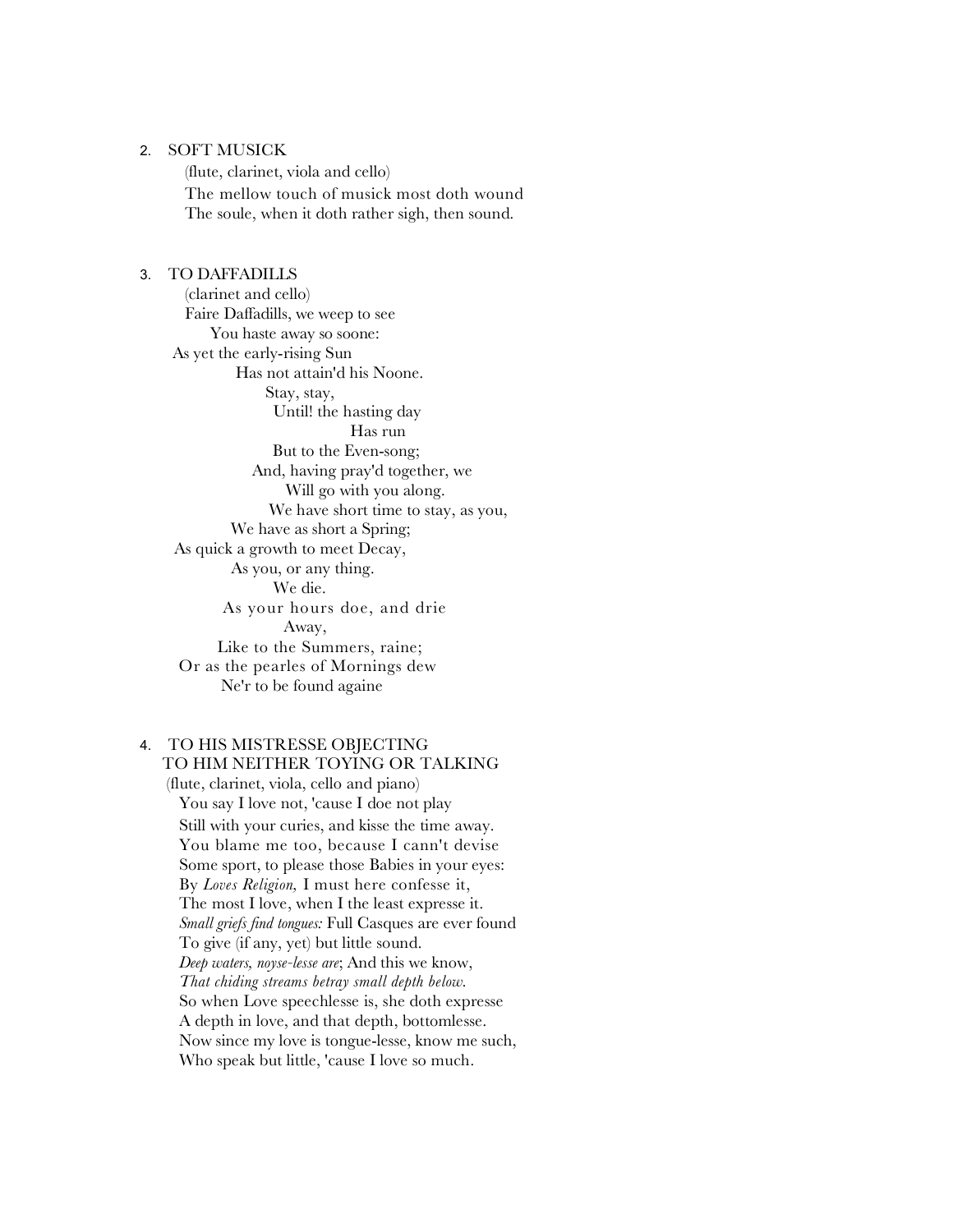#### 2. SOFT MUSICK

(flute, clarinet, viola and cello) The mellow touch of musick most doth wound The soule, when it doth rather sigh, then sound.

#### 3. TO DAFFADILLS

(clarinet and cello) Faire Daffadills, we weep to see You haste away so soone: As yet the early-rising Sun Has not attain'd his Noone. Stay, stay, Until! the hasting day Has run But to the Even-song; And, having pray'd together, we Will go with you along. We have short time to stay, as you, We have as short a Spring; As quick a growth to meet Decay, As you, or any thing. We die. As your hours doe, and drie Away, Like to the Summers, raine; Or as the pearles of Mornings dew Ne'r to be found againe

## 4. TO HIS MISTRESSE OBJECTING

TO HIM NEITHER TOYING OR TALKING (flute, clarinet, viola, cello and piano) You say I love not, 'cause I doe not play Still with your curies, and kisse the time away. You blame me too, because I cann't devise Some sport, to please those Babies in your eyes: By *Loves Religion,* I must here confesse it, The most I love, when I the least expresse it. *Small griefs find tongues:* Full Casques are ever found To give (if any, yet) but little sound. *Deep waters, noyse-lesse are*; And this we know, *That chiding streams betray small depth below.*  So when Love speechlesse is, she doth expresse A depth in love, and that depth, bottomlesse. Now since my love is tongue-lesse, know me such, Who speak but little, 'cause I love so much.